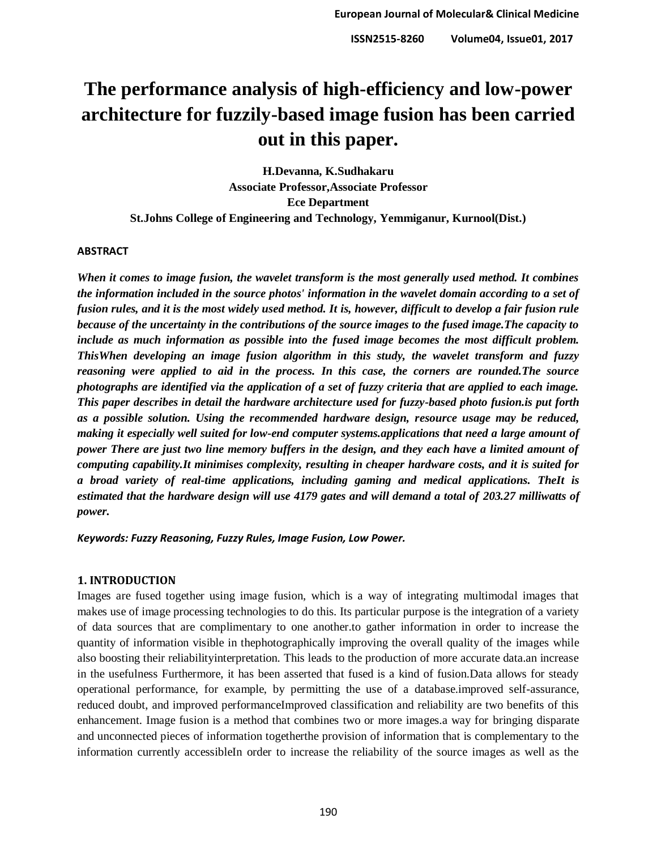# **The performance analysis of high-efficiency and low-power architecture for fuzzily-based image fusion has been carried out in this paper.**

**H.Devanna, K.Sudhakaru Associate Professor,Associate Professor Ece Department St.Johns College of Engineering and Technology, Yemmiganur, Kurnool(Dist.)**

#### **ABSTRACT**

*When it comes to image fusion, the wavelet transform is the most generally used method. It combines the information included in the source photos' information in the wavelet domain according to a set of fusion rules, and it is the most widely used method. It is, however, difficult to develop a fair fusion rule because of the uncertainty in the contributions of the source images to the fused image.The capacity to include as much information as possible into the fused image becomes the most difficult problem. ThisWhen developing an image fusion algorithm in this study, the wavelet transform and fuzzy reasoning were applied to aid in the process. In this case, the corners are rounded.The source photographs are identified via the application of a set of fuzzy criteria that are applied to each image. This paper describes in detail the hardware architecture used for fuzzy-based photo fusion.is put forth as a possible solution. Using the recommended hardware design, resource usage may be reduced, making it especially well suited for low-end computer systems.applications that need a large amount of power There are just two line memory buffers in the design, and they each have a limited amount of computing capability.It minimises complexity, resulting in cheaper hardware costs, and it is suited for a broad variety of real-time applications, including gaming and medical applications. TheIt is estimated that the hardware design will use 4179 gates and will demand a total of 203.27 milliwatts of power.*

*Keywords: Fuzzy Reasoning, Fuzzy Rules, Image Fusion, Low Power.*

#### **1. INTRODUCTION**

Images are fused together using image fusion, which is a way of integrating multimodal images that makes use of image processing technologies to do this. Its particular purpose is the integration of a variety of data sources that are complimentary to one another.to gather information in order to increase the quantity of information visible in thephotographically improving the overall quality of the images while also boosting their reliabilityinterpretation. This leads to the production of more accurate data.an increase in the usefulness Furthermore, it has been asserted that fused is a kind of fusion.Data allows for steady operational performance, for example, by permitting the use of a database.improved self-assurance, reduced doubt, and improved performanceImproved classification and reliability are two benefits of this enhancement. Image fusion is a method that combines two or more images.a way for bringing disparate and unconnected pieces of information togetherthe provision of information that is complementary to the information currently accessibleIn order to increase the reliability of the source images as well as the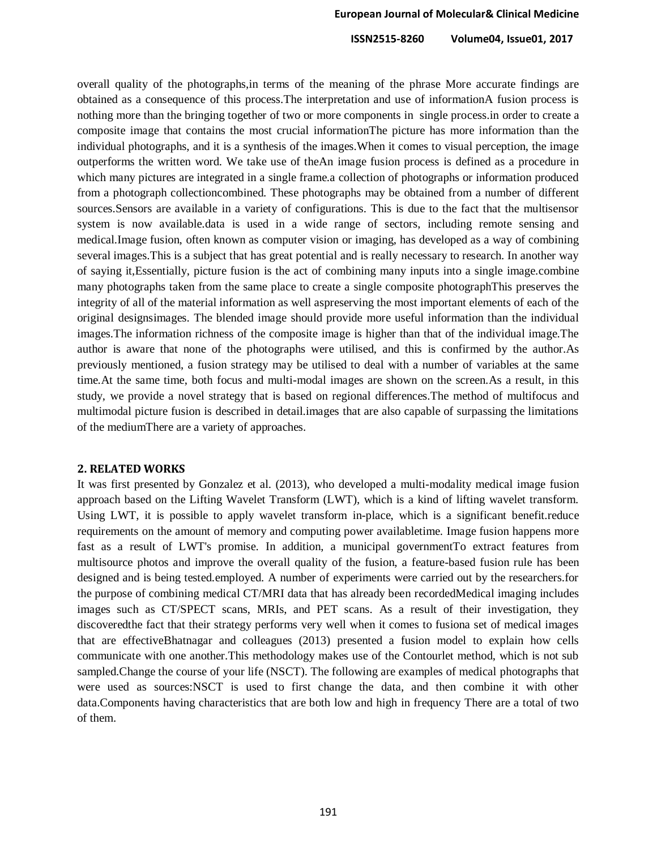overall quality of the photographs,in terms of the meaning of the phrase More accurate findings are obtained as a consequence of this process.The interpretation and use of informationA fusion process is nothing more than the bringing together of two or more components in single process.in order to create a composite image that contains the most crucial informationThe picture has more information than the individual photographs, and it is a synthesis of the images.When it comes to visual perception, the image outperforms the written word. We take use of theAn image fusion process is defined as a procedure in which many pictures are integrated in a single frame.a collection of photographs or information produced from a photograph collectioncombined. These photographs may be obtained from a number of different sources.Sensors are available in a variety of configurations. This is due to the fact that the multisensor system is now available.data is used in a wide range of sectors, including remote sensing and medical.Image fusion, often known as computer vision or imaging, has developed as a way of combining several images.This is a subject that has great potential and is really necessary to research. In another way of saying it,Essentially, picture fusion is the act of combining many inputs into a single image.combine many photographs taken from the same place to create a single composite photographThis preserves the integrity of all of the material information as well aspreserving the most important elements of each of the original designsimages. The blended image should provide more useful information than the individual images.The information richness of the composite image is higher than that of the individual image.The author is aware that none of the photographs were utilised, and this is confirmed by the author.As previously mentioned, a fusion strategy may be utilised to deal with a number of variables at the same time.At the same time, both focus and multi-modal images are shown on the screen.As a result, in this study, we provide a novel strategy that is based on regional differences.The method of multifocus and multimodal picture fusion is described in detail.images that are also capable of surpassing the limitations of the mediumThere are a variety of approaches.

#### **2. RELATED WORKS**

It was first presented by Gonzalez et al. (2013), who developed a multi-modality medical image fusion approach based on the Lifting Wavelet Transform (LWT), which is a kind of lifting wavelet transform. Using LWT, it is possible to apply wavelet transform in-place, which is a significant benefit.reduce requirements on the amount of memory and computing power availabletime. Image fusion happens more fast as a result of LWT's promise. In addition, a municipal governmentTo extract features from multisource photos and improve the overall quality of the fusion, a feature-based fusion rule has been designed and is being tested.employed. A number of experiments were carried out by the researchers.for the purpose of combining medical CT/MRI data that has already been recordedMedical imaging includes images such as CT/SPECT scans, MRIs, and PET scans. As a result of their investigation, they discoveredthe fact that their strategy performs very well when it comes to fusiona set of medical images that are effectiveBhatnagar and colleagues (2013) presented a fusion model to explain how cells communicate with one another.This methodology makes use of the Contourlet method, which is not sub sampled.Change the course of your life (NSCT). The following are examples of medical photographs that were used as sources:NSCT is used to first change the data, and then combine it with other data.Components having characteristics that are both low and high in frequency There are a total of two of them.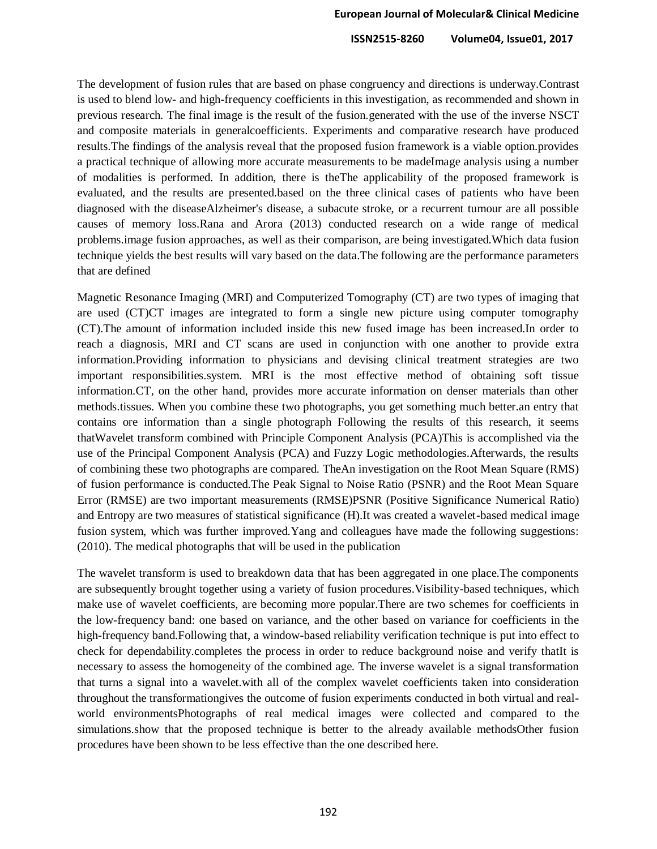The development of fusion rules that are based on phase congruency and directions is underway.Contrast is used to blend low- and high-frequency coefficients in this investigation, as recommended and shown in previous research. The final image is the result of the fusion.generated with the use of the inverse NSCT and composite materials in generalcoefficients. Experiments and comparative research have produced results.The findings of the analysis reveal that the proposed fusion framework is a viable option.provides a practical technique of allowing more accurate measurements to be madeImage analysis using a number of modalities is performed. In addition, there is theThe applicability of the proposed framework is evaluated, and the results are presented.based on the three clinical cases of patients who have been diagnosed with the diseaseAlzheimer's disease, a subacute stroke, or a recurrent tumour are all possible causes of memory loss.Rana and Arora (2013) conducted research on a wide range of medical problems.image fusion approaches, as well as their comparison, are being investigated.Which data fusion technique yields the best results will vary based on the data.The following are the performance parameters that are defined

Magnetic Resonance Imaging (MRI) and Computerized Tomography (CT) are two types of imaging that are used (CT)CT images are integrated to form a single new picture using computer tomography (CT).The amount of information included inside this new fused image has been increased.In order to reach a diagnosis, MRI and CT scans are used in conjunction with one another to provide extra information.Providing information to physicians and devising clinical treatment strategies are two important responsibilities.system. MRI is the most effective method of obtaining soft tissue information.CT, on the other hand, provides more accurate information on denser materials than other methods.tissues. When you combine these two photographs, you get something much better.an entry that contains ore information than a single photograph Following the results of this research, it seems thatWavelet transform combined with Principle Component Analysis (PCA)This is accomplished via the use of the Principal Component Analysis (PCA) and Fuzzy Logic methodologies.Afterwards, the results of combining these two photographs are compared. TheAn investigation on the Root Mean Square (RMS) of fusion performance is conducted.The Peak Signal to Noise Ratio (PSNR) and the Root Mean Square Error (RMSE) are two important measurements (RMSE)PSNR (Positive Significance Numerical Ratio) and Entropy are two measures of statistical significance (H).It was created a wavelet-based medical image fusion system, which was further improved.Yang and colleagues have made the following suggestions: (2010). The medical photographs that will be used in the publication

The wavelet transform is used to breakdown data that has been aggregated in one place.The components are subsequently brought together using a variety of fusion procedures.Visibility-based techniques, which make use of wavelet coefficients, are becoming more popular.There are two schemes for coefficients in the low-frequency band: one based on variance, and the other based on variance for coefficients in the high-frequency band.Following that, a window-based reliability verification technique is put into effect to check for dependability.completes the process in order to reduce background noise and verify thatIt is necessary to assess the homogeneity of the combined age. The inverse wavelet is a signal transformation that turns a signal into a wavelet.with all of the complex wavelet coefficients taken into consideration throughout the transformationgives the outcome of fusion experiments conducted in both virtual and realworld environmentsPhotographs of real medical images were collected and compared to the simulations.show that the proposed technique is better to the already available methodsOther fusion procedures have been shown to be less effective than the one described here.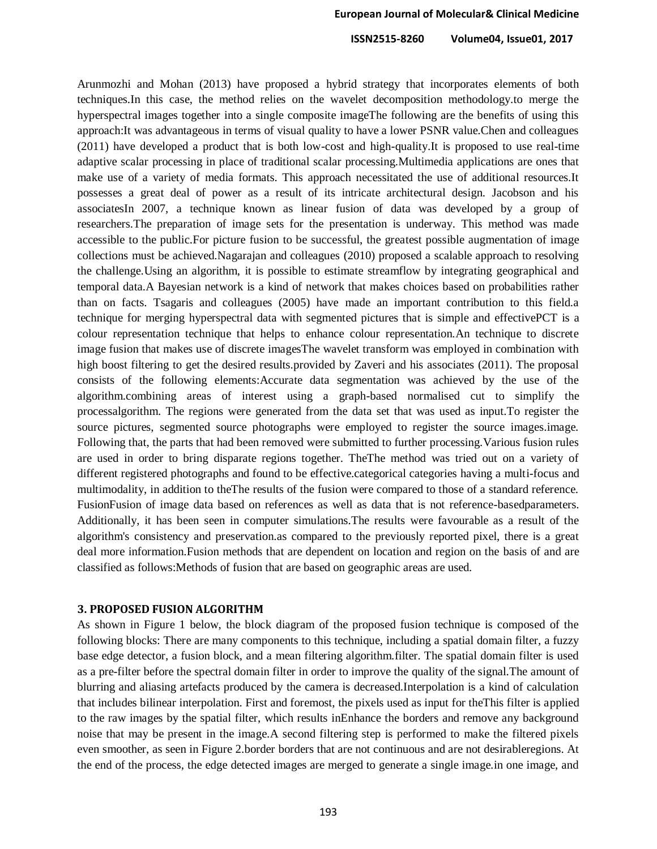Arunmozhi and Mohan (2013) have proposed a hybrid strategy that incorporates elements of both techniques.In this case, the method relies on the wavelet decomposition methodology.to merge the hyperspectral images together into a single composite imageThe following are the benefits of using this approach:It was advantageous in terms of visual quality to have a lower PSNR value.Chen and colleagues (2011) have developed a product that is both low-cost and high-quality.It is proposed to use real-time adaptive scalar processing in place of traditional scalar processing.Multimedia applications are ones that make use of a variety of media formats. This approach necessitated the use of additional resources.It possesses a great deal of power as a result of its intricate architectural design. Jacobson and his associatesIn 2007, a technique known as linear fusion of data was developed by a group of researchers.The preparation of image sets for the presentation is underway. This method was made accessible to the public.For picture fusion to be successful, the greatest possible augmentation of image collections must be achieved.Nagarajan and colleagues (2010) proposed a scalable approach to resolving the challenge.Using an algorithm, it is possible to estimate streamflow by integrating geographical and temporal data.A Bayesian network is a kind of network that makes choices based on probabilities rather than on facts. Tsagaris and colleagues (2005) have made an important contribution to this field.a technique for merging hyperspectral data with segmented pictures that is simple and effectivePCT is a colour representation technique that helps to enhance colour representation.An technique to discrete image fusion that makes use of discrete imagesThe wavelet transform was employed in combination with high boost filtering to get the desired results.provided by Zaveri and his associates (2011). The proposal consists of the following elements:Accurate data segmentation was achieved by the use of the algorithm.combining areas of interest using a graph-based normalised cut to simplify the processalgorithm. The regions were generated from the data set that was used as input.To register the source pictures, segmented source photographs were employed to register the source images.image. Following that, the parts that had been removed were submitted to further processing.Various fusion rules are used in order to bring disparate regions together. TheThe method was tried out on a variety of different registered photographs and found to be effective.categorical categories having a multi-focus and multimodality, in addition to theThe results of the fusion were compared to those of a standard reference. FusionFusion of image data based on references as well as data that is not reference-basedparameters. Additionally, it has been seen in computer simulations.The results were favourable as a result of the algorithm's consistency and preservation.as compared to the previously reported pixel, there is a great deal more information.Fusion methods that are dependent on location and region on the basis of and are classified as follows:Methods of fusion that are based on geographic areas are used.

### **3. PROPOSED FUSION ALGORITHM**

As shown in Figure 1 below, the block diagram of the proposed fusion technique is composed of the following blocks: There are many components to this technique, including a spatial domain filter, a fuzzy base edge detector, a fusion block, and a mean filtering algorithm.filter. The spatial domain filter is used as a pre-filter before the spectral domain filter in order to improve the quality of the signal.The amount of blurring and aliasing artefacts produced by the camera is decreased.Interpolation is a kind of calculation that includes bilinear interpolation. First and foremost, the pixels used as input for theThis filter is applied to the raw images by the spatial filter, which results inEnhance the borders and remove any background noise that may be present in the image.A second filtering step is performed to make the filtered pixels even smoother, as seen in Figure 2.border borders that are not continuous and are not desirableregions. At the end of the process, the edge detected images are merged to generate a single image.in one image, and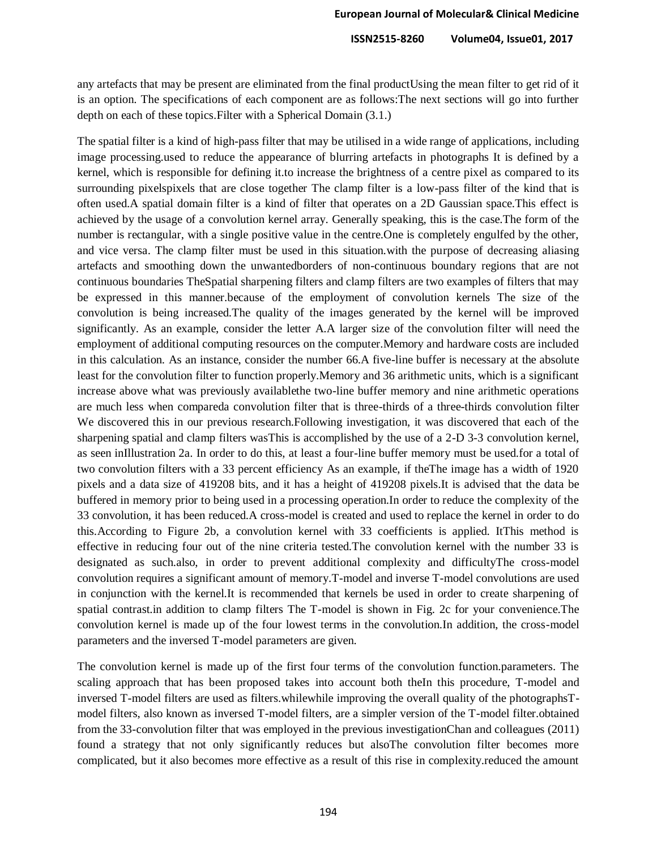any artefacts that may be present are eliminated from the final productUsing the mean filter to get rid of it is an option. The specifications of each component are as follows:The next sections will go into further depth on each of these topics.Filter with a Spherical Domain (3.1.)

The spatial filter is a kind of high-pass filter that may be utilised in a wide range of applications, including image processing.used to reduce the appearance of blurring artefacts in photographs It is defined by a kernel, which is responsible for defining it.to increase the brightness of a centre pixel as compared to its surrounding pixelspixels that are close together The clamp filter is a low-pass filter of the kind that is often used.A spatial domain filter is a kind of filter that operates on a 2D Gaussian space.This effect is achieved by the usage of a convolution kernel array. Generally speaking, this is the case.The form of the number is rectangular, with a single positive value in the centre.One is completely engulfed by the other, and vice versa. The clamp filter must be used in this situation.with the purpose of decreasing aliasing artefacts and smoothing down the unwantedborders of non-continuous boundary regions that are not continuous boundaries TheSpatial sharpening filters and clamp filters are two examples of filters that may be expressed in this manner.because of the employment of convolution kernels The size of the convolution is being increased.The quality of the images generated by the kernel will be improved significantly. As an example, consider the letter A.A larger size of the convolution filter will need the employment of additional computing resources on the computer.Memory and hardware costs are included in this calculation. As an instance, consider the number 66.A five-line buffer is necessary at the absolute least for the convolution filter to function properly.Memory and 36 arithmetic units, which is a significant increase above what was previously availablethe two-line buffer memory and nine arithmetic operations are much less when compareda convolution filter that is three-thirds of a three-thirds convolution filter We discovered this in our previous research.Following investigation, it was discovered that each of the sharpening spatial and clamp filters wasThis is accomplished by the use of a 2-D 3-3 convolution kernel, as seen inIllustration 2a. In order to do this, at least a four-line buffer memory must be used.for a total of two convolution filters with a 33 percent efficiency As an example, if theThe image has a width of 1920 pixels and a data size of 419208 bits, and it has a height of 419208 pixels.It is advised that the data be buffered in memory prior to being used in a processing operation.In order to reduce the complexity of the 33 convolution, it has been reduced.A cross-model is created and used to replace the kernel in order to do this.According to Figure 2b, a convolution kernel with 33 coefficients is applied. ItThis method is effective in reducing four out of the nine criteria tested.The convolution kernel with the number 33 is designated as such.also, in order to prevent additional complexity and difficultyThe cross-model convolution requires a significant amount of memory.T-model and inverse T-model convolutions are used in conjunction with the kernel.It is recommended that kernels be used in order to create sharpening of spatial contrast.in addition to clamp filters The T-model is shown in Fig. 2c for your convenience.The convolution kernel is made up of the four lowest terms in the convolution.In addition, the cross-model parameters and the inversed T-model parameters are given.

The convolution kernel is made up of the first four terms of the convolution function.parameters. The scaling approach that has been proposed takes into account both theIn this procedure, T-model and inversed T-model filters are used as filters.whilewhile improving the overall quality of the photographsTmodel filters, also known as inversed T-model filters, are a simpler version of the T-model filter.obtained from the 33-convolution filter that was employed in the previous investigationChan and colleagues (2011) found a strategy that not only significantly reduces but alsoThe convolution filter becomes more complicated, but it also becomes more effective as a result of this rise in complexity.reduced the amount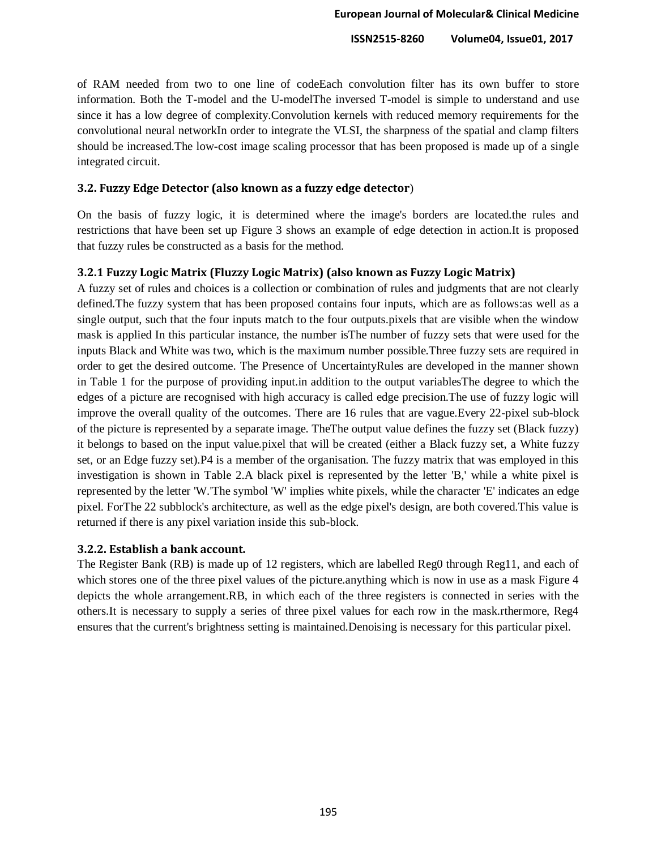of RAM needed from two to one line of codeEach convolution filter has its own buffer to store information. Both the T-model and the U-modelThe inversed T-model is simple to understand and use since it has a low degree of complexity.Convolution kernels with reduced memory requirements for the convolutional neural networkIn order to integrate the VLSI, the sharpness of the spatial and clamp filters should be increased.The low-cost image scaling processor that has been proposed is made up of a single integrated circuit.

# **3.2. Fuzzy Edge Detector (also known as a fuzzy edge detector**)

On the basis of fuzzy logic, it is determined where the image's borders are located.the rules and restrictions that have been set up Figure 3 shows an example of edge detection in action.It is proposed that fuzzy rules be constructed as a basis for the method.

# **3.2.1 Fuzzy Logic Matrix (Fluzzy Logic Matrix) (also known as Fuzzy Logic Matrix)**

A fuzzy set of rules and choices is a collection or combination of rules and judgments that are not clearly defined.The fuzzy system that has been proposed contains four inputs, which are as follows:as well as a single output, such that the four inputs match to the four outputs.pixels that are visible when the window mask is applied In this particular instance, the number isThe number of fuzzy sets that were used for the inputs Black and White was two, which is the maximum number possible.Three fuzzy sets are required in order to get the desired outcome. The Presence of UncertaintyRules are developed in the manner shown in Table 1 for the purpose of providing input.in addition to the output variablesThe degree to which the edges of a picture are recognised with high accuracy is called edge precision.The use of fuzzy logic will improve the overall quality of the outcomes. There are 16 rules that are vague.Every 22-pixel sub-block of the picture is represented by a separate image. TheThe output value defines the fuzzy set (Black fuzzy) it belongs to based on the input value.pixel that will be created (either a Black fuzzy set, a White fuzzy set, or an Edge fuzzy set).P4 is a member of the organisation. The fuzzy matrix that was employed in this investigation is shown in Table 2.A black pixel is represented by the letter 'B,' while a white pixel is represented by the letter 'W.'The symbol 'W' implies white pixels, while the character 'E' indicates an edge pixel. ForThe 22 subblock's architecture, as well as the edge pixel's design, are both covered.This value is returned if there is any pixel variation inside this sub-block.

# **3.2.2. Establish a bank account.**

The Register Bank (RB) is made up of 12 registers, which are labelled Reg0 through Reg11, and each of which stores one of the three pixel values of the picture. anything which is now in use as a mask Figure 4 depicts the whole arrangement.RB, in which each of the three registers is connected in series with the others.It is necessary to supply a series of three pixel values for each row in the mask.rthermore, Reg4 ensures that the current's brightness setting is maintained.Denoising is necessary for this particular pixel.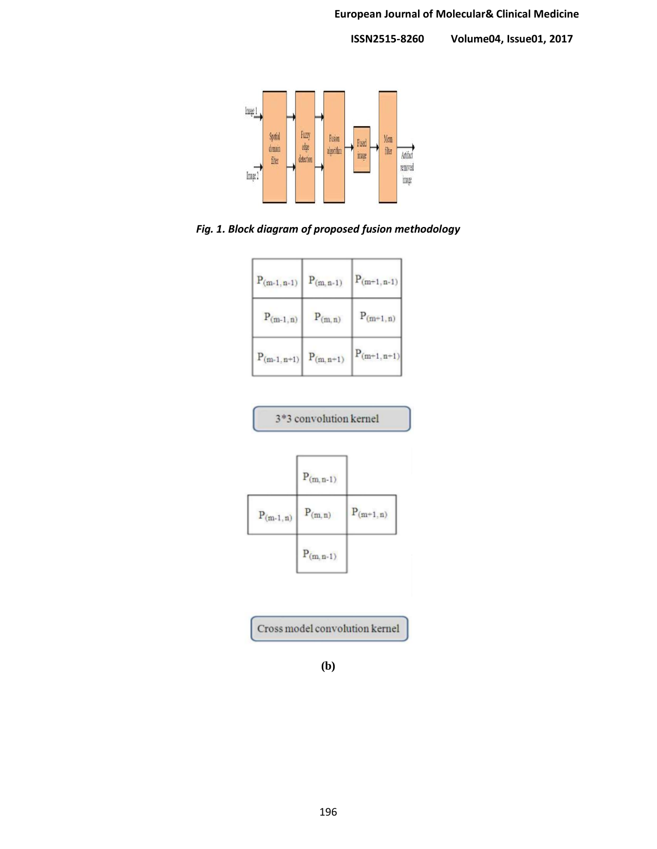

*Fig. 1. Block diagram of proposed fusion methodology*

| $P_{(m-1,n-1)}$ | $P_{(m, n-1)}$ | $P_{(m+1,n-1)}$ |
|-----------------|----------------|-----------------|
| $P_{(m-1,n)}$   | $P_{(m,n)}$    | $P_{(m+1,n)}$   |
| $P_{(m-1,n+1)}$ | $P_{(m, n+1)}$ | $P_{(m+1,n+1)}$ |

|               | 3*3 convolution kernel |               |
|---------------|------------------------|---------------|
|               | $P_{(m,n-1)}$          |               |
| $P_{(m-1,n)}$ | $P_{(m,n)}$            | $P_{(m+1,n)}$ |
|               | $P_{(m,n-1)}$          |               |

Cross model convolution kernel

**<sup>(</sup>b)**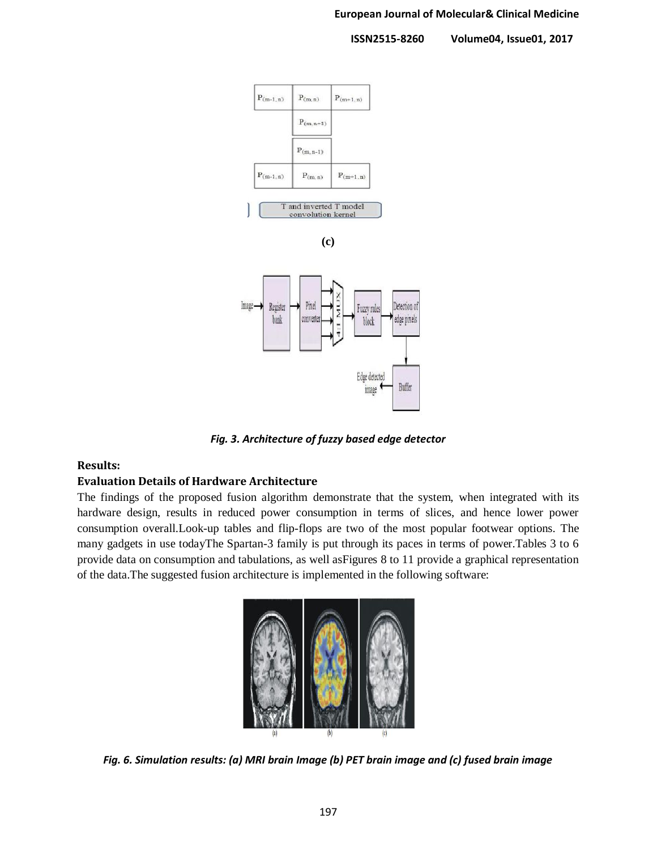#### **European Journal of Molecular& Clinical Medicine**

 **ISSN2515-8260 Volume04, Issue01, 2017**





*Fig. 3. Architecture of fuzzy based edge detector*

# **Results:**

# **Evaluation Details of Hardware Architecture**

The findings of the proposed fusion algorithm demonstrate that the system, when integrated with its hardware design, results in reduced power consumption in terms of slices, and hence lower power consumption overall.Look-up tables and flip-flops are two of the most popular footwear options. The many gadgets in use todayThe Spartan-3 family is put through its paces in terms of power.Tables 3 to 6 provide data on consumption and tabulations, as well asFigures 8 to 11 provide a graphical representation of the data.The suggested fusion architecture is implemented in the following software:



*Fig. 6. Simulation results: (a) MRI brain Image (b) PET brain image and (c) fused brain image*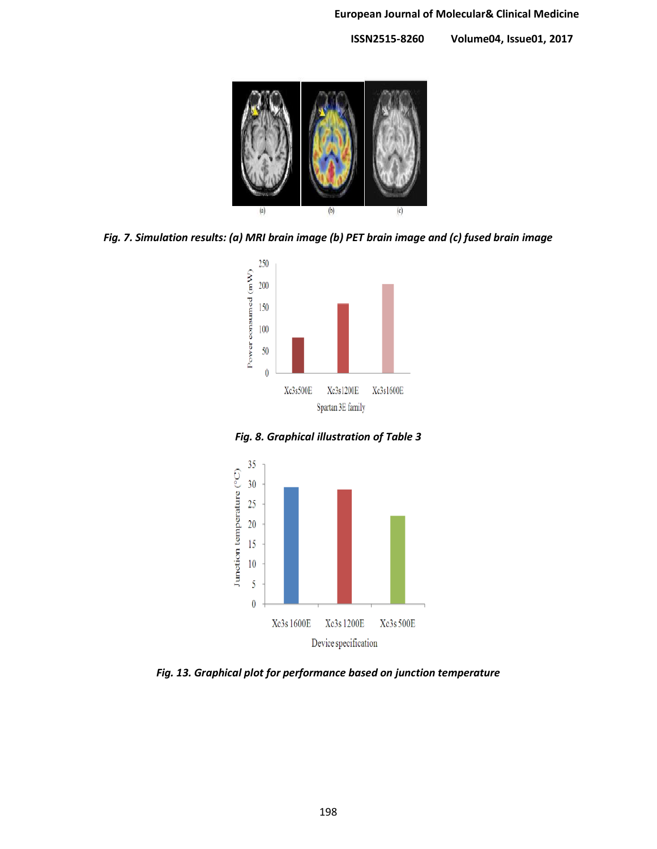

*Fig. 7. Simulation results: (a) MRI brain image (b) PET brain image and (c) fused brain image*



*Fig. 8. Graphical illustration of Table 3*



*Fig. 13. Graphical plot for performance based on junction temperature*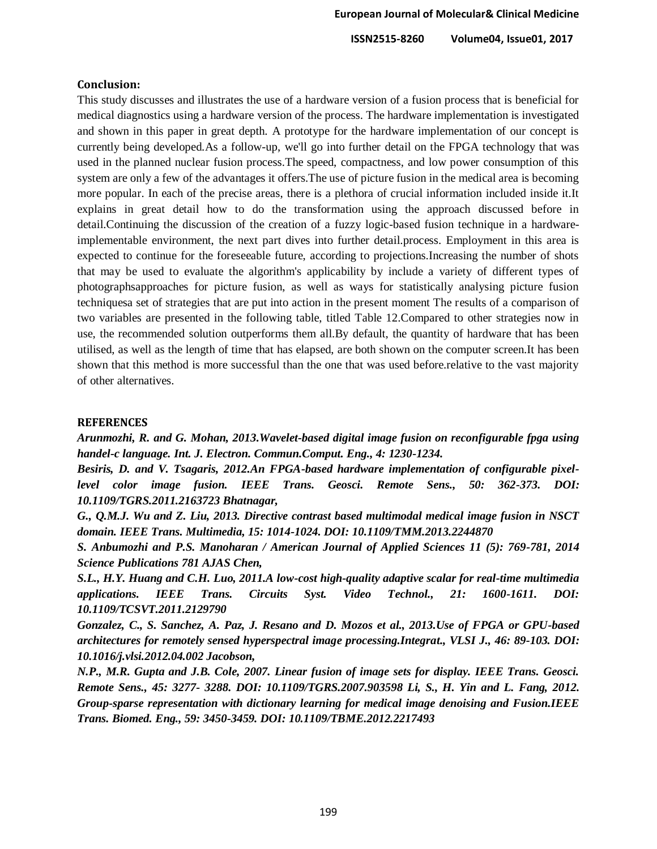#### **Conclusion:**

This study discusses and illustrates the use of a hardware version of a fusion process that is beneficial for medical diagnostics using a hardware version of the process. The hardware implementation is investigated and shown in this paper in great depth. A prototype for the hardware implementation of our concept is currently being developed.As a follow-up, we'll go into further detail on the FPGA technology that was used in the planned nuclear fusion process.The speed, compactness, and low power consumption of this system are only a few of the advantages it offers.The use of picture fusion in the medical area is becoming more popular. In each of the precise areas, there is a plethora of crucial information included inside it.It explains in great detail how to do the transformation using the approach discussed before in detail.Continuing the discussion of the creation of a fuzzy logic-based fusion technique in a hardwareimplementable environment, the next part dives into further detail.process. Employment in this area is expected to continue for the foreseeable future, according to projections.Increasing the number of shots that may be used to evaluate the algorithm's applicability by include a variety of different types of photographsapproaches for picture fusion, as well as ways for statistically analysing picture fusion techniquesa set of strategies that are put into action in the present moment The results of a comparison of two variables are presented in the following table, titled Table 12.Compared to other strategies now in use, the recommended solution outperforms them all.By default, the quantity of hardware that has been utilised, as well as the length of time that has elapsed, are both shown on the computer screen.It has been shown that this method is more successful than the one that was used before.relative to the vast majority of other alternatives.

#### **REFERENCES**

*Arunmozhi, R. and G. Mohan, 2013.Wavelet-based digital image fusion on reconfigurable fpga using handel-c language. Int. J. Electron. Commun.Comput. Eng., 4: 1230-1234.*

*Besiris, D. and V. Tsagaris, 2012.An FPGA-based hardware implementation of configurable pixellevel color image fusion. IEEE Trans. Geosci. Remote Sens., 50: 362-373. DOI: 10.1109/TGRS.2011.2163723 Bhatnagar,* 

*G., Q.M.J. Wu and Z. Liu, 2013. Directive contrast based multimodal medical image fusion in NSCT domain. IEEE Trans. Multimedia, 15: 1014-1024. DOI: 10.1109/TMM.2013.2244870* 

*S. Anbumozhi and P.S. Manoharan / American Journal of Applied Sciences 11 (5): 769-781, 2014 Science Publications 781 AJAS Chen,*

*S.L., H.Y. Huang and C.H. Luo, 2011.A low-cost high-quality adaptive scalar for real-time multimedia applications. IEEE Trans. Circuits Syst. Video Technol., 21: 1600-1611. DOI: 10.1109/TCSVT.2011.2129790* 

*Gonzalez, C., S. Sanchez, A. Paz, J. Resano and D. Mozos et al., 2013.Use of FPGA or GPU-based architectures for remotely sensed hyperspectral image processing.Integrat., VLSI J., 46: 89-103. DOI: 10.1016/j.vlsi.2012.04.002 Jacobson,*

*N.P., M.R. Gupta and J.B. Cole, 2007. Linear fusion of image sets for display. IEEE Trans. Geosci. Remote Sens., 45: 3277- 3288. DOI: 10.1109/TGRS.2007.903598 Li, S., H. Yin and L. Fang, 2012. Group-sparse representation with dictionary learning for medical image denoising and Fusion.IEEE Trans. Biomed. Eng., 59: 3450-3459. DOI: 10.1109/TBME.2012.2217493*